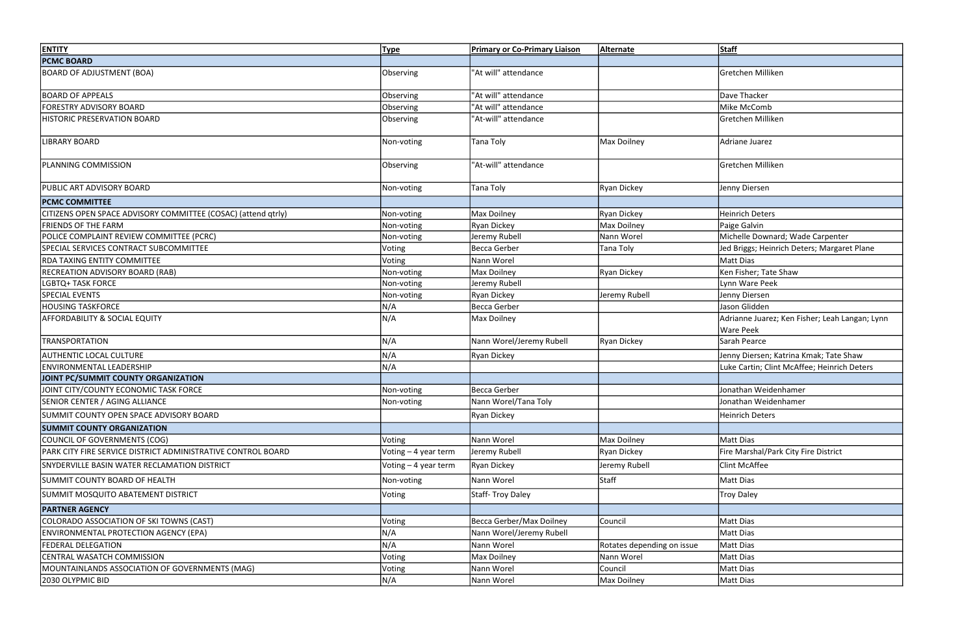| <b>PCMC BOARD</b><br><b>BOARD OF ADJUSTMENT (BOA)</b><br>"At will" attendance<br>Gretchen Milliken                                                                  |  |
|---------------------------------------------------------------------------------------------------------------------------------------------------------------------|--|
|                                                                                                                                                                     |  |
| Observing                                                                                                                                                           |  |
| <b>BOARD OF APPEALS</b><br>Observing<br>"At will" attendance<br>Dave Thacker                                                                                        |  |
| "At will" attendance<br>Mike McComb<br><b>FORESTRY ADVISORY BOARD</b><br>Observing                                                                                  |  |
| "At-will" attendance<br>HISTORIC PRESERVATION BOARD<br>Gretchen Milliken<br>Observing                                                                               |  |
| Max Doilney<br><b>LIBRARY BOARD</b><br>Non-voting<br>Adriane Juarez<br><b>Tana Toly</b>                                                                             |  |
| "At-will" attendance<br>Gretchen Milliken<br>Observing<br><b>PLANNING COMMISSION</b>                                                                                |  |
| <b>PUBLIC ART ADVISORY BOARD</b><br>Tana Toly<br><b>Ryan Dickey</b><br>Jenny Diersen<br>Non-voting                                                                  |  |
| <b>PCMC COMMITTEE</b>                                                                                                                                               |  |
| Ryan Dickey<br>Heinrich Deters<br>CITIZENS OPEN SPACE ADVISORY COMMITTEE (COSAC) (attend qtrly)<br>Non-voting<br>Max Doilney                                        |  |
| <b>FRIENDS OF THE FARM</b><br><b>Ryan Dickey</b><br>Max Doilney<br>Paige Galvin<br>Non-voting                                                                       |  |
| POLICE COMPLAINT REVIEW COMMITTEE (PCRC)<br>Nann Worel<br>Michelle Downard; Wade Carpenter<br>Jeremy Rubell<br>Non-voting                                           |  |
| SPECIAL SERVICES CONTRACT SUBCOMMITTEE<br>Becca Gerber<br><b>Tana Toly</b><br>Jed Briggs; Heinrich Deters; Margaret Plane<br>Voting                                 |  |
| <b>RDA TAXING ENTITY COMMITTEE</b><br>Voting<br>Nann Worel<br>Matt Dias                                                                                             |  |
| <b>RECREATION ADVISORY BOARD (RAB)</b><br>Max Doilney<br><b>Ryan Dickey</b><br>Ken Fisher; Tate Shaw<br>Non-voting                                                  |  |
| <b>LGBTQ+ TASK FORCE</b><br>Jeremy Rubell<br>Lynn Ware Peek<br>Non-voting                                                                                           |  |
| <b>SPECIAL EVENTS</b><br><b>Ryan Dickey</b><br>Jeremy Rubell<br>Jenny Diersen<br>Non-voting                                                                         |  |
| <b>HOUSING TASKFORCE</b><br>Becca Gerber<br>Jason Glidden<br>N/A                                                                                                    |  |
| N/A<br><b>AFFORDABILITY &amp; SOCIAL EQUITY</b><br>Adrianne Juarez; Ken Fisher; Leah Langan; Lynn<br>Max Doilney<br><b>Ware Peek</b>                                |  |
| N/A<br>Nann Worel/Jeremy Rubell<br><b>Ryan Dickey</b><br><b>TRANSPORTATION</b><br>Sarah Pearce                                                                      |  |
| <b>AUTHENTIC LOCAL CULTURE</b><br>N/A<br><b>Ryan Dickey</b><br>Jenny Diersen; Katrina Kmak; Tate Shaw                                                               |  |
| N/A<br>ENVIRONMENTAL LEADERSHIP<br>Luke Cartin; Clint McAffee; Heinrich Deters                                                                                      |  |
| JOINT PC/SUMMIT COUNTY ORGANIZATION                                                                                                                                 |  |
| JOINT CITY/COUNTY ECONOMIC TASK FORCE<br>Becca Gerber<br>Jonathan Weidenhamer<br>Non-voting                                                                         |  |
| <b>SENIOR CENTER / AGING ALLIANCE</b><br>Nann Worel/Tana Toly<br>Jonathan Weidenhamer<br>Non-voting                                                                 |  |
| SUMMIT COUNTY OPEN SPACE ADVISORY BOARD<br><b>Ryan Dickey</b><br>Heinrich Deters                                                                                    |  |
| <b>SUMMIT COUNTY ORGANIZATION</b>                                                                                                                                   |  |
| COUNCIL OF GOVERNMENTS (COG)<br>Nann Worel<br>Max Doilney<br>Matt Dias<br><b>Voting</b>                                                                             |  |
| Fire Marshal/Park City Fire District<br>PARK CITY FIRE SERVICE DISTRICT ADMINISTRATIVE CONTROL BOARD<br>Voting - 4 year term<br><b>Ryan Dickey</b><br>Jeremy Rubell |  |
| Clint McAffee<br>Jeremy Rubell<br>SNYDERVILLE BASIN WATER RECLAMATION DISTRICT<br>Voting – 4 year term<br><b>Ryan Dickey</b>                                        |  |
| Staff<br>SUMMIT COUNTY BOARD OF HEALTH<br>Nann Worel<br>Matt Dias<br>Non-voting                                                                                     |  |
| Staff-Troy Daley<br>SUMMIT MOSQUITO ABATEMENT DISTRICT<br>Troy Daley<br>Voting                                                                                      |  |
| <b>PARTNER AGENCY</b>                                                                                                                                               |  |
| Becca Gerber/Max Doilney<br>Matt Dias<br>COLORADO ASSOCIATION OF SKI TOWNS (CAST)<br>Council<br>Voting                                                              |  |
| N/A<br>ENVIRONMENTAL PROTECTION AGENCY (EPA)<br>Nann Worel/Jeremy Rubell<br>Matt Dias                                                                               |  |
| <b>FEDERAL DELEGATION</b><br>N/A<br>Nann Worel<br>Rotates depending on issue<br>Matt Dias                                                                           |  |
| Nann Worel<br>CENTRAL WASATCH COMMISSION<br>Voting<br>Matt Dias<br>Max Doilney                                                                                      |  |
| MOUNTAINLANDS ASSOCIATION OF GOVERNMENTS (MAG)<br><b>Voting</b><br>Nann Worel<br>Council<br>Matt Dias                                                               |  |
| N/A<br>2030 OLYPMIC BID<br>Nann Worel<br>Max Doilney<br>Matt Dias                                                                                                   |  |